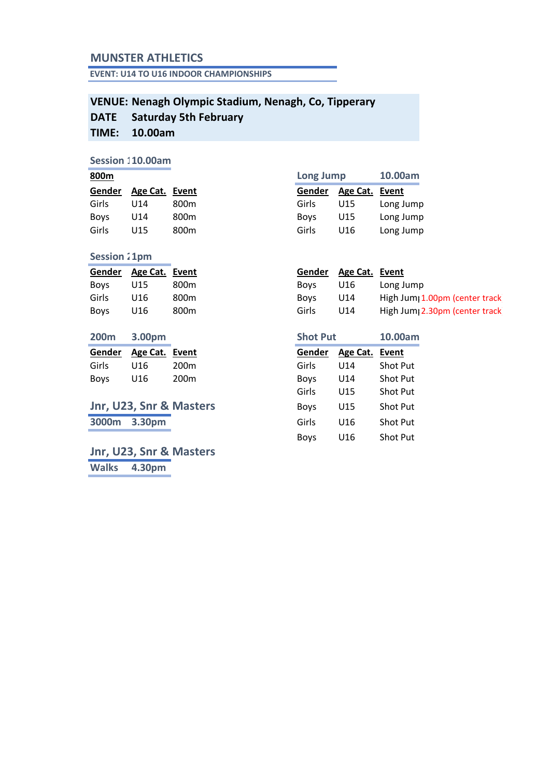## **MUNSTER ATHLETICS**

**EVENT: U14 TO U16 INDOOR CHAMPIONSHIPS**

### **VENUE: Nenagh Olympic Stadium, Nenagh, Co, Tipperary DATE TIME: Saturday 5th February 10.00am**

## **Session 110.00am**

| Gender | Age Cat. | Event |
|--------|----------|-------|
| Girls  | U14      | 800m  |
| Boys   | U14      | 800m  |
| Girls  | U15      | 800m  |

## **Session 21pm**

|             | Gender Age Cat. Event |                  |             | Gender Age Cat. Event |        |
|-------------|-----------------------|------------------|-------------|-----------------------|--------|
| Boys        | U15                   | 800m             | Bovs        | U16                   | Long.  |
| Girls       | U16                   | 800m             | <b>Boys</b> | U14                   | High J |
| <b>Boys</b> | U16                   | 800 <sub>m</sub> | Girls       | U14                   | High J |

| <b>200m</b> | 3.00pm                |      | <b>Shot Put</b> | 10.00am        |                 |
|-------------|-----------------------|------|-----------------|----------------|-----------------|
|             | Gender Age Cat. Event |      | Gender          | Age Cat. Event |                 |
| Girls       | U16                   | 200m | Girls           | U14            | <b>Shot Put</b> |
| <b>Boys</b> | U16                   | 200m | <b>Boys</b>     | U14            | <b>Shot Put</b> |

# **Jnr, U23, Snr & Masters 3000m** 3.30pm

**Jnr, U23, Snr & Masters Walks 4.30pm**

| 800m   |                | Long Jump        |             | 10.00am  |           |
|--------|----------------|------------------|-------------|----------|-----------|
| Gender | Age Cat. Event |                  | Gender      | Age Cat. | Event     |
| Girls  | U14            | 800m             | Girls       | U15      | Long Jump |
| Bovs   | U14            | 800m             | <b>Boys</b> | U15      | Long Jump |
| Girls  | U15            | 800 <sub>m</sub> | Girls       | U16      | Long Jump |
|        |                |                  |             |          |           |

| U15 | 800m | Boys                  | U16 | Long Jump                                  |
|-----|------|-----------------------|-----|--------------------------------------------|
| U16 | 800m | <b>Boys</b>           | U14 | High Jum <sub>1</sub> 1.00pm (center track |
| U16 | 800m | Girls                 | U14 | High Jum <sub>1</sub> 2.30pm (center track |
|     |      | Gender Age Cat. Event |     | Gender Age Cat. Event                      |

| 200m   | 3.00pm   |                         | <b>Shot Put</b> |                 | 10.00am         |
|--------|----------|-------------------------|-----------------|-----------------|-----------------|
| Gender | Age Cat. | Event                   | Gender          | Age Cat.        | Event           |
| Girls  | U16      | 200m                    | Girls           | U <sub>14</sub> | <b>Shot Put</b> |
| Boys   | U16      | 200 <sub>m</sub>        | <b>Boys</b>     | U14             | <b>Shot Put</b> |
|        |          |                         | Girls           | U15             | <b>Shot Put</b> |
|        |          | Jnr, U23, Snr & Masters | <b>Boys</b>     | U15             | <b>Shot Put</b> |
| 3000m  | 3.30pm   |                         | Girls           | U <sub>16</sub> | <b>Shot Put</b> |
|        |          |                         | <b>Boys</b>     | U16             | <b>Shot Put</b> |
|        |          |                         |                 |                 |                 |